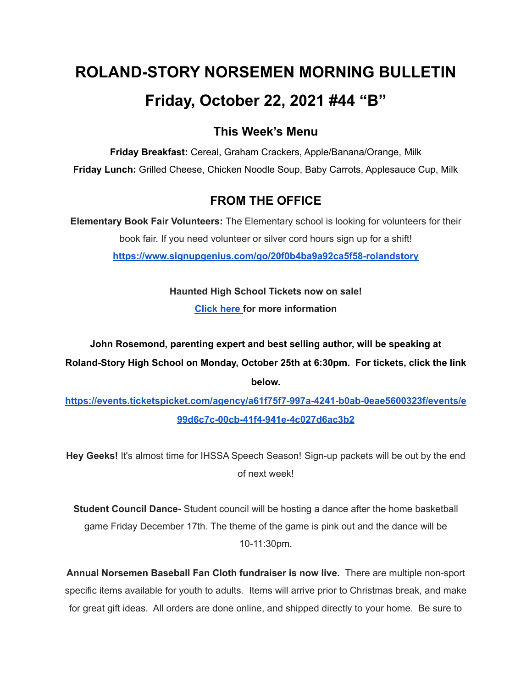# **ROLAND-STORY NORSEMEN MORNING BULLETIN Friday, October 22, 2021 #44 "B"**

## **This Week's Menu**

**Friday Breakfast:** Cereal, Graham Crackers, Apple/Banana/Orange, Milk **Friday Lunch:** Grilled Cheese, Chicken Noodle Soup, Baby Carrots, Applesauce Cup, Milk

# **FROM THE OFFICE**

**Elementary Book Fair Volunteers:** The Elementary school is looking for volunteers for their book fair. If you need volunteer or silver cord hours sign up for a shift! **<https://www.signupgenius.com/go/20f0b4ba9a92ca5f58-rolandstory>**

> **Haunted High School Tickets now on sale! [Click](https://drive.google.com/file/d/1QQXVvjnwkvK4mkS1QKdNp9LhOMZRHqKl/view?usp=sharing) here for more information**

**John Rosemond, parenting expert and best selling author, will be speaking at Roland-Story High School on Monday, October 25th at 6:30pm. For tickets, click the link below.**

**[https://events.ticketspicket.com/agency/a61f75f7-997a-4241-b0ab-0eae5600323f/events/e](https://events.ticketspicket.com/agency/a61f75f7-997a-4241-b0ab-0eae5600323f/events/e99d6c7c-00cb-41f4-941e-4c027d6ac3b2) [99d6c7c-00cb-41f4-941e-4c027d6ac3b2](https://events.ticketspicket.com/agency/a61f75f7-997a-4241-b0ab-0eae5600323f/events/e99d6c7c-00cb-41f4-941e-4c027d6ac3b2)**

**Hey Geeks!** It's almost time for IHSSA Speech Season! Sign-up packets will be out by the end of next week!

**Student Council Dance-** Student council will be hosting a dance after the home basketball game Friday December 17th. The theme of the game is pink out and the dance will be 10-11:30pm.

**Annual Norsemen Baseball Fan Cloth fundraiser is now live.** There are multiple non-sport specific items available for youth to adults. Items will arrive prior to Christmas break, and make for great gift ideas. All orders are done online, and shipped directly to your home. Be sure to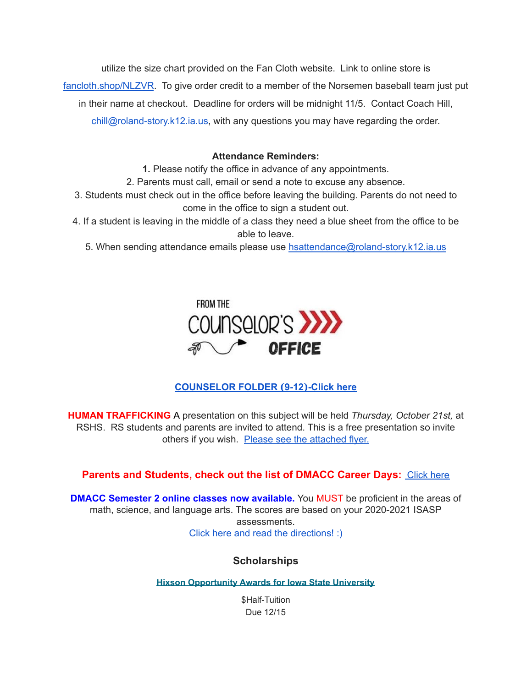utilize the size chart provided on the Fan Cloth website. Link to online store is

[fancloth.shop/NLZVR](http://fancloth.shop/NLZVR). To give order credit to a member of the Norsemen baseball team just put

in their name at checkout. Deadline for orders will be midnight 11/5. Contact Coach Hill,

chill@roland-story.k12.ia.us, with any questions you may have regarding the order.

#### **Attendance Reminders:**

**1.** Please notify the office in advance of any appointments.

2. Parents must call, email or send a note to excuse any absence.

- 3. Students must check out in the office before leaving the building. Parents do not need to come in the office to sign a student out.
- 4. If a student is leaving in the middle of a class they need a blue sheet from the office to be able to leave.

5. When sending attendance emails please use [hsattendance@roland-story.k12.ia.us](mailto:hsattendance@roland-story.k12.ia.us)



## **[COUNSELOR](https://docs.google.com/document/d/1vmwczNPbDzXe9vFaG5LJMQ7NYDv-i4oQJHybqA65TUc/edit?usp=sharing) FOLDER (9-12)-Click here**

**HUMAN TRAFFICKING** A presentation on this subject will be held *Thursday, October 21st,* at RSHS. RS students and parents are invited to attend. This is a free presentation so invite others if you wish. Please see the [attached](https://drive.google.com/file/d/1yauLbYbFOUL1W6YeHUsplVp9VT4j6PbF/view?usp=sharing) flyer.

## **Parents and Students, check out the list of DMACC Career Days: [Click](https://www.dmacc.edu/careerdiscovery/Pages/careerdiscovery.aspx) here**

**DMACC Semester 2 online classes now available.** You MUST be proficient in the areas of math, science, and language arts. The scores are based on your 2020-2021 ISASP assessments. Click here and read the [directions!](https://docs.google.com/document/d/1DwEmgrLuBDkU4bqokTEqzimj1v3EFqhLcx5OUZTQjsg/edit?usp=sharing) :)

## **Scholarships**

**Hixson [Opportunity](https://www.hixson.dso.iastate.edu/application/online-application-process) Awards for Iowa State University**

\$Half-Tuition Due 12/15